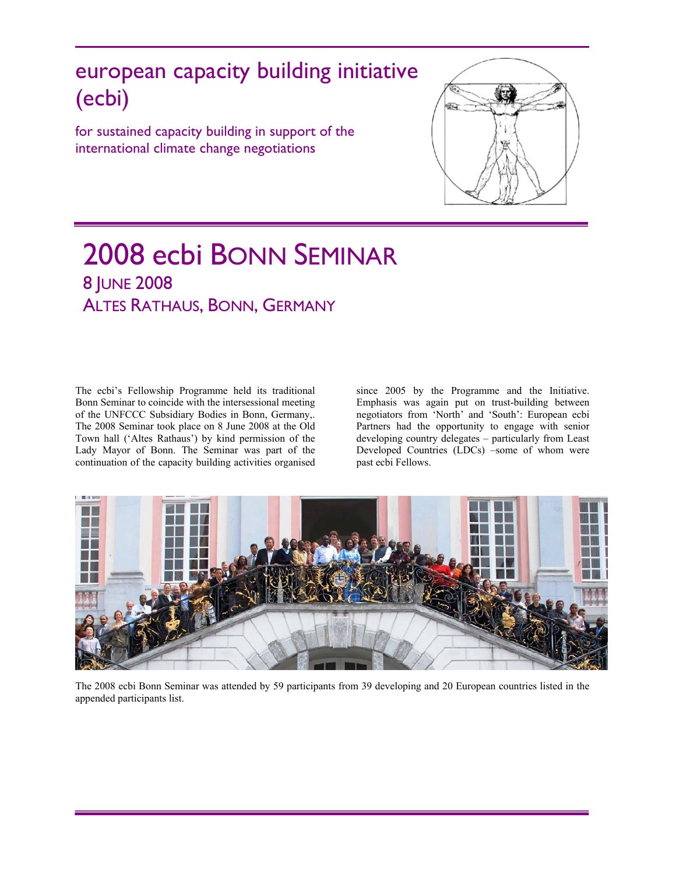# european capacity building initiative (ecbi)

for sustained capacity building in support of the international climate change negotiations



# 2008 ecbi BONN SEMINAR 8 JUNE 2008 ALTES RATHAUS, BONN, GERMANY

The ecbi's Fellowship Programme held its traditional Bonn Seminar to coincide with the intersessional meeting of the UNFCCC Subsidiary Bodies in Bonn, Germany,. The 2008 Seminar took place on 8 June 2008 at the Old Town hall ('Altes Rathaus') by kind permission of the Lady Mayor of Bonn. The Seminar was part of the continuation of the capacity building activities organised

since 2005 by the Programme and the Initiative. Emphasis was again put on trust-building between negotiators from 'North' and 'South': European ecbi Partners had the opportunity to engage with senior developing country delegates – particularly from Least Developed Countries (LDCs) –some of whom were past ecbi Fellows.



The 2008 ecbi Bonn Seminar was attended by 59 participants from 39 developing and 20 European countries listed in the appended participants list.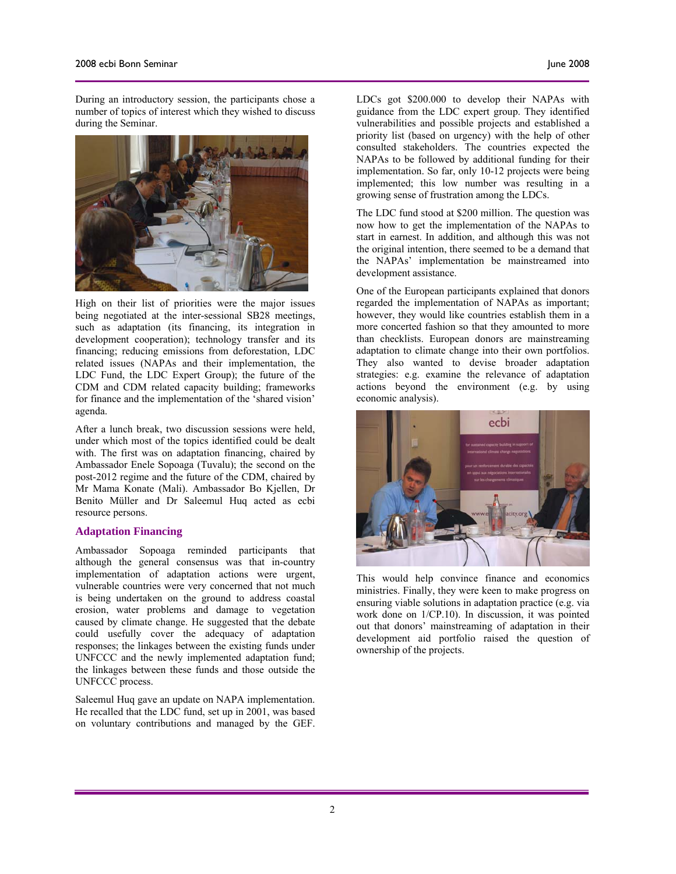During an introductory session, the participants chose a number of topics of interest which they wished to discuss during the Seminar.



High on their list of priorities were the major issues being negotiated at the inter-sessional SB28 meetings, such as adaptation (its financing, its integration in development cooperation); technology transfer and its financing; reducing emissions from deforestation, LDC related issues (NAPAs and their implementation, the LDC Fund, the LDC Expert Group); the future of the CDM and CDM related capacity building; frameworks for finance and the implementation of the 'shared vision' agenda.

After a lunch break, two discussion sessions were held, under which most of the topics identified could be dealt with. The first was on adaptation financing, chaired by Ambassador Enele Sopoaga (Tuvalu); the second on the post-2012 regime and the future of the CDM, chaired by Mr Mama Konate (Mali). Ambassador Bo Kjellen, Dr Benito Müller and Dr Saleemul Huq acted as ecbi resource persons.

#### **Adaptation Financing**

Ambassador Sopoaga reminded participants that although the general consensus was that in-country implementation of adaptation actions were urgent, vulnerable countries were very concerned that not much is being undertaken on the ground to address coastal erosion, water problems and damage to vegetation caused by climate change. He suggested that the debate could usefully cover the adequacy of adaptation responses; the linkages between the existing funds under UNFCCC and the newly implemented adaptation fund; the linkages between these funds and those outside the UNFCCC process.

Saleemul Huq gave an update on NAPA implementation. He recalled that the LDC fund, set up in 2001, was based on voluntary contributions and managed by the GEF. LDCs got \$200.000 to develop their NAPAs with guidance from the LDC expert group. They identified vulnerabilities and possible projects and established a priority list (based on urgency) with the help of other consulted stakeholders. The countries expected the NAPAs to be followed by additional funding for their implementation. So far, only 10-12 projects were being implemented; this low number was resulting in a growing sense of frustration among the LDCs.

The LDC fund stood at \$200 million. The question was now how to get the implementation of the NAPAs to start in earnest. In addition, and although this was not the original intention, there seemed to be a demand that the NAPAs' implementation be mainstreamed into development assistance.

One of the European participants explained that donors regarded the implementation of NAPAs as important; however, they would like countries establish them in a more concerted fashion so that they amounted to more than checklists. European donors are mainstreaming adaptation to climate change into their own portfolios. They also wanted to devise broader adaptation strategies: e.g. examine the relevance of adaptation actions beyond the environment (e.g. by using economic analysis).



This would help convince finance and economics ministries. Finally, they were keen to make progress on ensuring viable solutions in adaptation practice (e.g. via work done on 1/CP.10). In discussion, it was pointed out that donors' mainstreaming of adaptation in their development aid portfolio raised the question of ownership of the projects.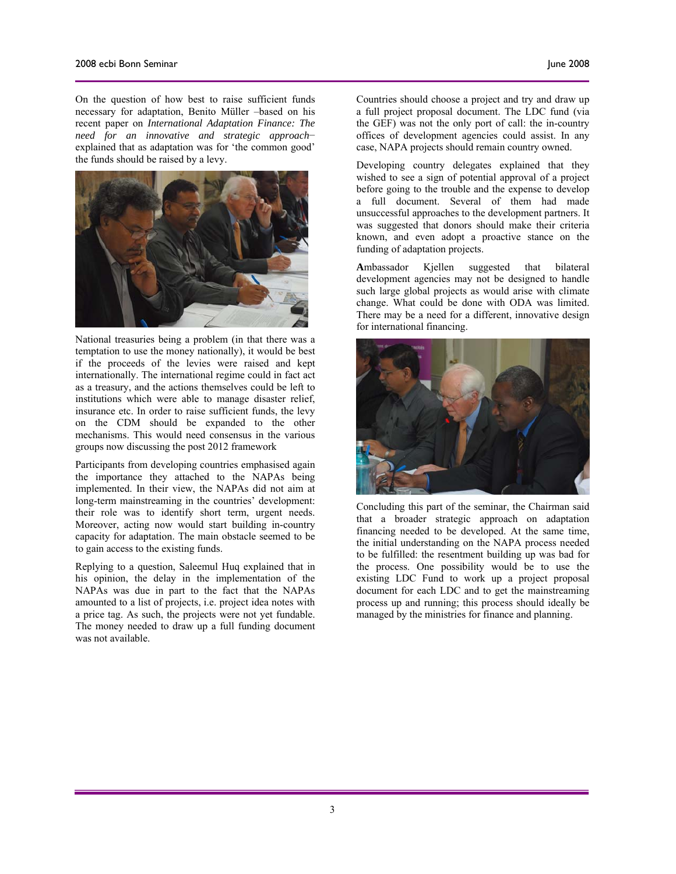On the question of how best to raise sufficient funds necessary for adaptation, Benito Müller –based on his recent paper on *International Adaptation Finance: The need for an innovative and strategic approach*− explained that as adaptation was for 'the common good' the funds should be raised by a levy.



National treasuries being a problem (in that there was a temptation to use the money nationally), it would be best if the proceeds of the levies were raised and kept internationally. The international regime could in fact act as a treasury, and the actions themselves could be left to institutions which were able to manage disaster relief, insurance etc. In order to raise sufficient funds, the levy on the CDM should be expanded to the other mechanisms. This would need consensus in the various groups now discussing the post 2012 framework

Participants from developing countries emphasised again the importance they attached to the NAPAs being implemented. In their view, the NAPAs did not aim at long-term mainstreaming in the countries' development: their role was to identify short term, urgent needs. Moreover, acting now would start building in-country capacity for adaptation. The main obstacle seemed to be to gain access to the existing funds.

Replying to a question, Saleemul Huq explained that in his opinion, the delay in the implementation of the NAPAs was due in part to the fact that the NAPAs amounted to a list of projects, i.e. project idea notes with a price tag. As such, the projects were not yet fundable. The money needed to draw up a full funding document was not available.

Countries should choose a project and try and draw up a full project proposal document. The LDC fund (via the GEF) was not the only port of call: the in-country offices of development agencies could assist. In any case, NAPA projects should remain country owned.

Developing country delegates explained that they wished to see a sign of potential approval of a project before going to the trouble and the expense to develop a full document. Several of them had made unsuccessful approaches to the development partners. It was suggested that donors should make their criteria known, and even adopt a proactive stance on the funding of adaptation projects.

**A**mbassador Kjellen suggested that bilateral development agencies may not be designed to handle such large global projects as would arise with climate change. What could be done with ODA was limited. There may be a need for a different, innovative design for international financing.



Concluding this part of the seminar, the Chairman said that a broader strategic approach on adaptation financing needed to be developed. At the same time, the initial understanding on the NAPA process needed to be fulfilled: the resentment building up was bad for the process. One possibility would be to use the existing LDC Fund to work up a project proposal document for each LDC and to get the mainstreaming process up and running; this process should ideally be managed by the ministries for finance and planning.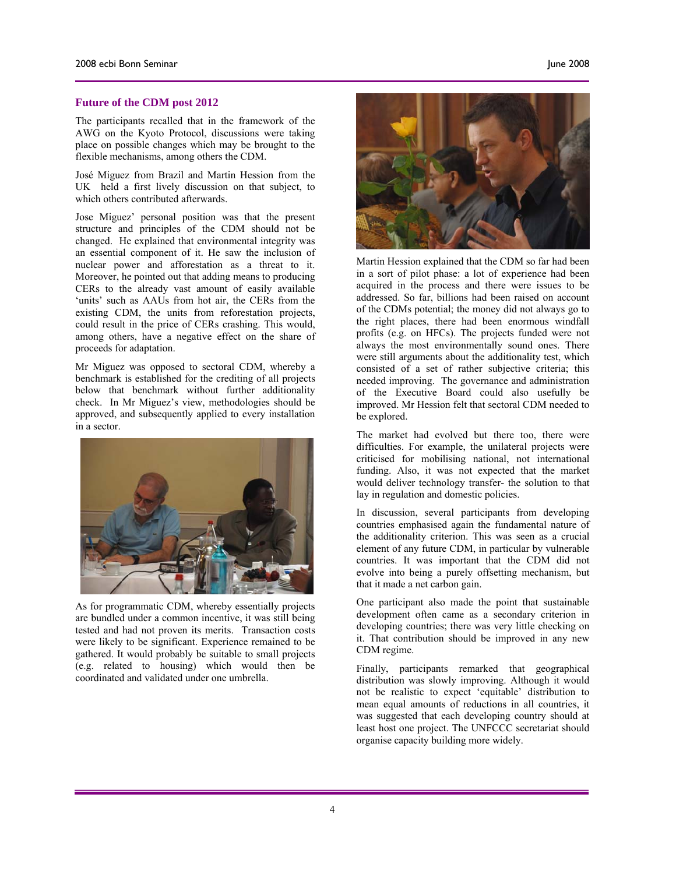#### **Future of the CDM post 2012**

The participants recalled that in the framework of the AWG on the Kyoto Protocol, discussions were taking place on possible changes which may be brought to the flexible mechanisms, among others the CDM.

José Miguez from Brazil and Martin Hession from the UK held a first lively discussion on that subject, to which others contributed afterwards.

Jose Miguez' personal position was that the present structure and principles of the CDM should not be changed. He explained that environmental integrity was an essential component of it. He saw the inclusion of nuclear power and afforestation as a threat to it. Moreover, he pointed out that adding means to producing CERs to the already vast amount of easily available 'units' such as AAUs from hot air, the CERs from the existing CDM, the units from reforestation projects, could result in the price of CERs crashing. This would, among others, have a negative effect on the share of proceeds for adaptation.

Mr Miguez was opposed to sectoral CDM, whereby a benchmark is established for the crediting of all projects below that benchmark without further additionality check. In Mr Miguez's view, methodologies should be approved, and subsequently applied to every installation in a sector.



As for programmatic CDM, whereby essentially projects are bundled under a common incentive, it was still being tested and had not proven its merits. Transaction costs were likely to be significant. Experience remained to be gathered. It would probably be suitable to small projects (e.g. related to housing) which would then be coordinated and validated under one umbrella.



Martin Hession explained that the CDM so far had been in a sort of pilot phase: a lot of experience had been acquired in the process and there were issues to be addressed. So far, billions had been raised on account of the CDMs potential; the money did not always go to the right places, there had been enormous windfall profits (e.g. on HFCs). The projects funded were not always the most environmentally sound ones. There were still arguments about the additionality test, which consisted of a set of rather subjective criteria; this needed improving. The governance and administration of the Executive Board could also usefully be improved. Mr Hession felt that sectoral CDM needed to be explored.

The market had evolved but there too, there were difficulties. For example, the unilateral projects were criticised for mobilising national, not international funding. Also, it was not expected that the market would deliver technology transfer- the solution to that lay in regulation and domestic policies.

In discussion, several participants from developing countries emphasised again the fundamental nature of the additionality criterion. This was seen as a crucial element of any future CDM, in particular by vulnerable countries. It was important that the CDM did not evolve into being a purely offsetting mechanism, but that it made a net carbon gain.

One participant also made the point that sustainable development often came as a secondary criterion in developing countries; there was very little checking on it. That contribution should be improved in any new CDM regime.

Finally, participants remarked that geographical distribution was slowly improving. Although it would not be realistic to expect 'equitable' distribution to mean equal amounts of reductions in all countries, it was suggested that each developing country should at least host one project. The UNFCCC secretariat should organise capacity building more widely.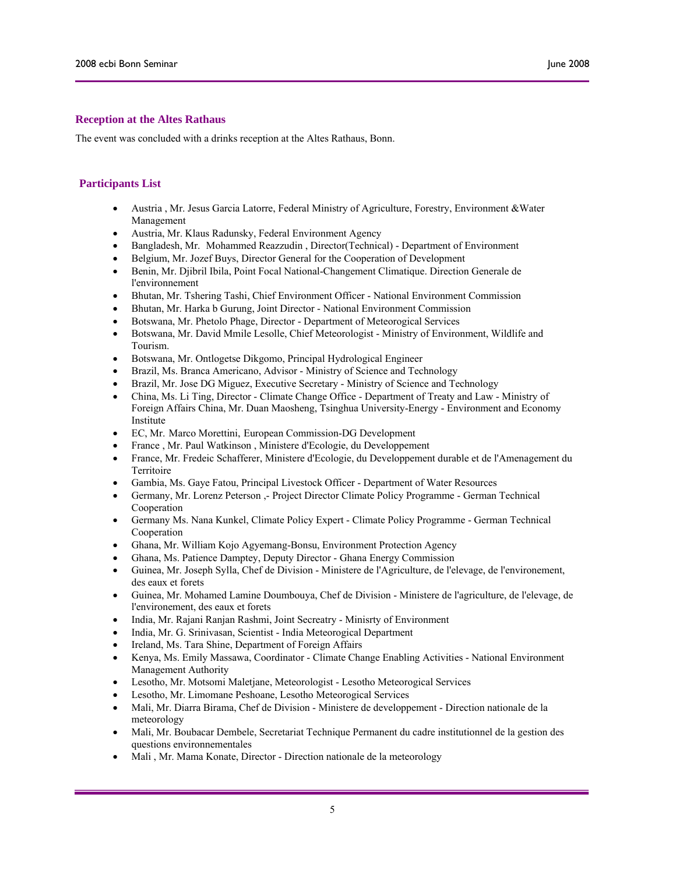### **Reception at the Altes Rathaus**

The event was concluded with a drinks reception at the Altes Rathaus, Bonn.

### **Participants List**

- Austria , Mr. Jesus Garcia Latorre, Federal Ministry of Agriculture, Forestry, Environment &Water Management
- Austria, Mr. Klaus Radunsky, Federal Environment Agency
- Bangladesh, Mr. Mohammed Reazzudin , Director(Technical) Department of Environment
- Belgium, Mr. Jozef Buys, Director General for the Cooperation of Development
- Benin, Mr. Djibril Ibila, Point Focal National-Changement Climatique. Direction Generale de l'environnement
- Bhutan, Mr. Tshering Tashi, Chief Environment Officer National Environment Commission
- Bhutan, Mr. Harka b Gurung, Joint Director National Environment Commission
- Botswana, Mr. Phetolo Phage, Director Department of Meteorogical Services
- Botswana, Mr. David Mmile Lesolle, Chief Meteorologist Ministry of Environment, Wildlife and Tourism.
- Botswana, Mr. Ontlogetse Dikgomo, Principal Hydrological Engineer
- Brazil, Ms. Branca Americano, Advisor Ministry of Science and Technology
- Brazil, Mr. Jose DG Miguez, Executive Secretary Ministry of Science and Technology
- China, Ms. Li Ting, Director Climate Change Office Department of Treaty and Law Ministry of Foreign Affairs China, Mr. Duan Maosheng, Tsinghua University-Energy - Environment and Economy Institute
- EC, Mr. Marco Morettini, European Commission-DG Development
- France , Mr. Paul Watkinson , Ministere d'Ecologie, du Developpement
- France, Mr. Fredeic Schafferer, Ministere d'Ecologie, du Developpement durable et de l'Amenagement du Territoire
- Gambia, Ms. Gaye Fatou, Principal Livestock Officer Department of Water Resources
- Germany, Mr. Lorenz Peterson ,- Project Director Climate Policy Programme German Technical Cooperation
- Germany Ms. Nana Kunkel, Climate Policy Expert Climate Policy Programme German Technical Cooperation
- Ghana, Mr. William Kojo Agyemang-Bonsu, Environment Protection Agency
- Ghana, Ms. Patience Damptey, Deputy Director Ghana Energy Commission
- Guinea, Mr. Joseph Sylla, Chef de Division Ministere de l'Agriculture, de l'elevage, de l'environement, des eaux et forets
- Guinea, Mr. Mohamed Lamine Doumbouya, Chef de Division Ministere de l'agriculture, de l'elevage, de l'environement, des eaux et forets
- India, Mr. Rajani Ranjan Rashmi, Joint Secreatry Minisrty of Environment
- India, Mr. G. Srinivasan, Scientist India Meteorogical Department
- Ireland, Ms. Tara Shine, Department of Foreign Affairs
- Kenya, Ms. Emily Massawa, Coordinator Climate Change Enabling Activities National Environment Management Authority
- Lesotho, Mr. Motsomi Maletjane, Meteorologist Lesotho Meteorogical Services
- Lesotho, Mr. Limomane Peshoane, Lesotho Meteorogical Services
- Mali, Mr. Diarra Birama, Chef de Division Ministere de developpement Direction nationale de la meteorology
- Mali, Mr. Boubacar Dembele, Secretariat Technique Permanent du cadre institutionnel de la gestion des questions environnementales
- Mali , Mr. Mama Konate, Director Direction nationale de la meteorology